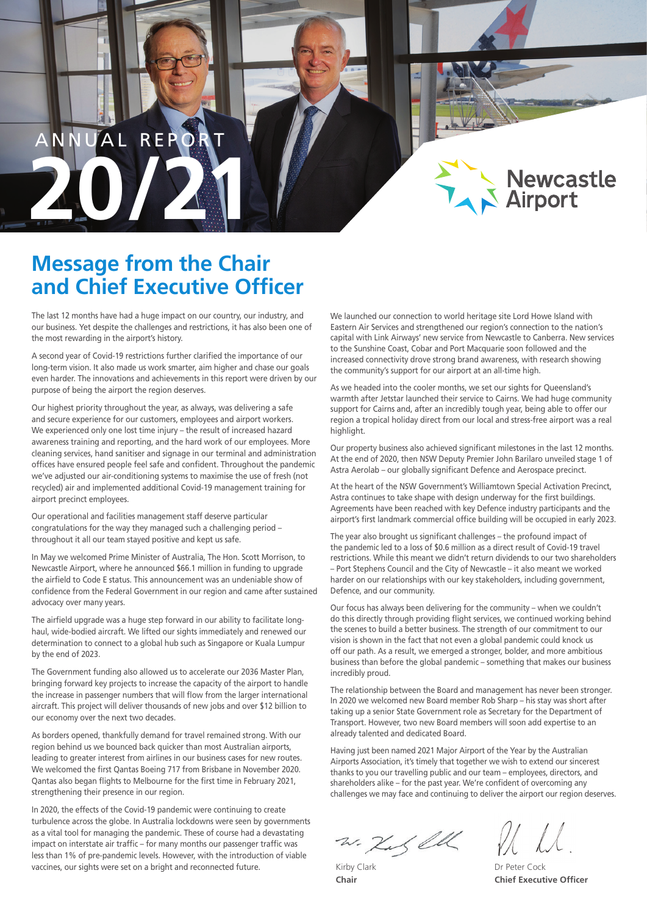# AL REPO **20 /21**



# **Message from the Chair and Chief Executive Officer**

The last 12 months have had a huge impact on our country, our industry, and our business. Yet despite the challenges and restrictions, it has also been one of the most rewarding in the airport's history.

A second year of Covid-19 restrictions further clarified the importance of our long-term vision. It also made us work smarter, aim higher and chase our goals even harder. The innovations and achievements in this report were driven by our purpose of being the airport the region deserves.

Our highest priority throughout the year, as always, was delivering a safe and secure experience for our customers, employees and airport workers. We experienced only one lost time injury – the result of increased hazard awareness training and reporting, and the hard work of our employees. More cleaning services, hand sanitiser and signage in our terminal and administration offices have ensured people feel safe and confident. Throughout the pandemic we've adjusted our air-conditioning systems to maximise the use of fresh (not recycled) air and implemented additional Covid-19 management training for airport precinct employees.

Our operational and facilities management staff deserve particular congratulations for the way they managed such a challenging period – throughout it all our team stayed positive and kept us safe.

In May we welcomed Prime Minister of Australia, The Hon. Scott Morrison, to Newcastle Airport, where he announced \$66.1 million in funding to upgrade the airfield to Code E status. This announcement was an undeniable show of confidence from the Federal Government in our region and came after sustained advocacy over many years.

The airfield upgrade was a huge step forward in our ability to facilitate longhaul, wide-bodied aircraft. We lifted our sights immediately and renewed our determination to connect to a global hub such as Singapore or Kuala Lumpur by the end of 2023.

The Government funding also allowed us to accelerate our 2036 Master Plan, bringing forward key projects to increase the capacity of the airport to handle the increase in passenger numbers that will flow from the larger international aircraft. This project will deliver thousands of new jobs and over \$12 billion to our economy over the next two decades.

As borders opened, thankfully demand for travel remained strong. With our region behind us we bounced back quicker than most Australian airports, leading to greater interest from airlines in our business cases for new routes. We welcomed the first Qantas Boeing 717 from Brisbane in November 2020. Qantas also began flights to Melbourne for the first time in February 2021, strengthening their presence in our region.

In 2020, the effects of the Covid-19 pandemic were continuing to create turbulence across the globe. In Australia lockdowns were seen by governments as a vital tool for managing the pandemic. These of course had a devastating impact on interstate air traffic – for many months our passenger traffic was less than 1% of pre-pandemic levels. However, with the introduction of viable vaccines, our sights were set on a bright and reconnected future. Kirby Clark

We launched our connection to world heritage site Lord Howe Island with Eastern Air Services and strengthened our region's connection to the nation's capital with Link Airways' new service from Newcastle to Canberra. New services to the Sunshine Coast, Cobar and Port Macquarie soon followed and the increased connectivity drove strong brand awareness, with research showing the community's support for our airport at an all-time high.

As we headed into the cooler months, we set our sights for Queensland's warmth after Jetstar launched their service to Cairns. We had huge community support for Cairns and, after an incredibly tough year, being able to offer our region a tropical holiday direct from our local and stress-free airport was a real highlight.

Our property business also achieved significant milestones in the last 12 months. At the end of 2020, then NSW Deputy Premier John Barilaro unveiled stage 1 of Astra Aerolab – our globally significant Defence and Aerospace precinct.

At the heart of the NSW Government's Williamtown Special Activation Precinct, Astra continues to take shape with design underway for the first buildings. Agreements have been reached with key Defence industry participants and the airport's first landmark commercial office building will be occupied in early 2023.

The year also brought us significant challenges – the profound impact of the pandemic led to a loss of \$0.6 million as a direct result of Covid-19 travel restrictions. While this meant we didn't return dividends to our two shareholders – Port Stephens Council and the City of Newcastle – it also meant we worked harder on our relationships with our key stakeholders, including government, Defence, and our community.

Our focus has always been delivering for the community – when we couldn't do this directly through providing flight services, we continued working behind the scenes to build a better business. The strength of our commitment to our vision is shown in the fact that not even a global pandemic could knock us off our path. As a result, we emerged a stronger, bolder, and more ambitious business than before the global pandemic – something that makes our business incredibly proud.

The relationship between the Board and management has never been stronger. In 2020 we welcomed new Board member Rob Sharp – his stay was short after taking up a senior State Government role as Secretary for the Department of Transport. However, two new Board members will soon add expertise to an already talented and dedicated Board.

Having just been named 2021 Major Airport of the Year by the Australian Airports Association, it's timely that together we wish to extend our sincerest thanks to you our travelling public and our team – employees, directors, and shareholders alike – for the past year. We're confident of overcoming any challenges we may face and continuing to deliver the airport our region deserves.

w. Kus ell

**Chair**

Dr Peter Cock **Chief Executive Officer**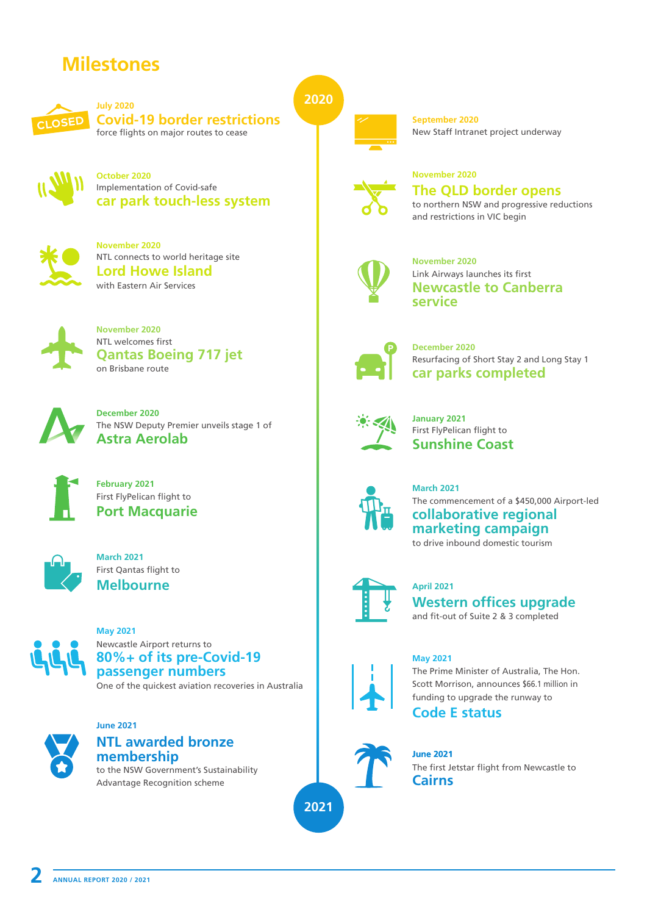# **Milestones**



**July 2020 Covid-19 border restrictions**  force flights on major routes to cease



**October 2020** Implementation of Covid-safe **car park touch-less system** 



**November 2020 Lord Howe Island** with Eastern Air Services NTL connects to world heritage site



**November 2020 Qantas Boeing 717 jet** NTL welcomes first on Brisbane route



**December 2020** The NSW Deputy Premier unveils stage 1 of **Astra Aerolab**



**February 2021** First FlyPelican flight to



**March 2021 Melbourne** First Qantas flight to



One of the quickest aviation recoveries in Australia **May 2021** Newcastle Airport returns to **80%+ of its pre-Covid-19 passenger numbers**



#### **June 2021 NTL awarded bronze**

to the NSW Government's Sustainability Advantage Recognition scheme **membership**

**2020**



**September 2020** New Staff Intranet project underway



### **November 2020 The QLD border opens**

to northern NSW and progressive reductions and restrictions in VIC begin



**November 2020 Newcastle to Canberra service** Link Airways launches its first



**December 2020** Resurfacing of Short Stay 2 and Long Stay 1 **car parks completed**



**January 2021 Sunshine Coast** First FlyPelican flight to



**March 2021 collaborative regional marketing campaign**  First FlyPelican flight to<br>**Port Macquarie** The commencement of a \$450,000 Airport-led<br>**Port Macquarie** to drive inbound domestic tourism



**April 2021 Western offices upgrade** and fit-out of Suite 2 & 3 completed



**May 2021** The Prime Minister of Australia, The Hon.

Scott Morrison, announces \$66.1 million in funding to upgrade the runway to

**Code E status** 



**2021**

**June 2021**

The first Jetstar flight from Newcastle to **Cairns**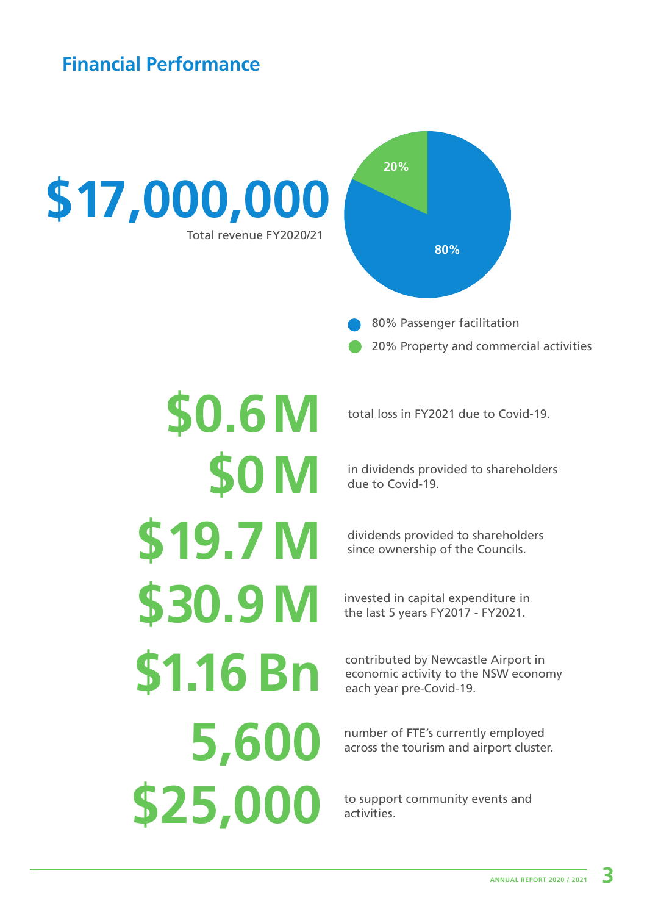# **Financial Performance**



**\$0.6 M \$19.7 M \$0 M \$30.9 M \$1.16 Bn 5,600 \$25,000**

total loss in FY2021 due to Covid-19.

in dividends provided to shareholders due to Covid-19.

dividends provided to shareholders since ownership of the Councils.

invested in capital expenditure in the last 5 years FY2017 - FY2021.

contributed by Newcastle Airport in economic activity to the NSW economy each year pre-Covid-19.

number of FTE's currently employed across the tourism and airport cluster.

to support community events and activities.